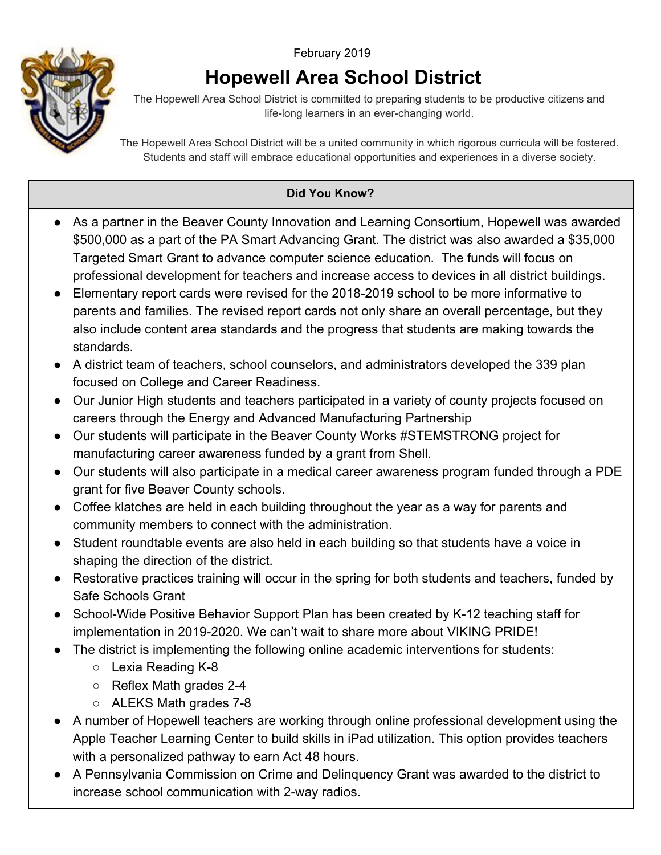## February <sup>2019</sup>



## **Hopewell Area School District**

The Hopewell Area School District is committed to preparing students to be productive citizens and life-long learners in an ever-changing world.

The Hopewell Area School District will be a united community in which rigorous curricula will be fostered. Students and staff will embrace educational opportunities and experiences in a diverse society.

## **Did You Know?**

- As a partner in the Beaver County Innovation and Learning Consortium, Hopewell was awarded \$500,000 as a part of the PA Smart Advancing Grant. The district was also awarded a \$35,000 Targeted Smart Grant to advance computer science education. The funds will focus on professional development for teachers and increase access to devices in all district buildings.
- Elementary report cards were revised for the 2018-2019 school to be more informative to parents and families. The revised report cards not only share an overall percentage, but they also include content area standards and the progress that students are making towards the standards.
- A district team of teachers, school counselors, and administrators developed the 339 plan focused on College and Career Readiness.
- Our Junior High students and teachers participated in a variety of county projects focused on careers through the Energy and Advanced Manufacturing Partnership
- Our students will participate in the Beaver County Works #STEMSTRONG project for manufacturing career awareness funded by a grant from Shell.
- Our students will also participate in a medical career awareness program funded through a PDE grant for five Beaver County schools.
- Coffee klatches are held in each building throughout the year as a way for parents and community members to connect with the administration.
- Student roundtable events are also held in each building so that students have a voice in shaping the direction of the district.
- Restorative practices training will occur in the spring for both students and teachers, funded by Safe Schools Grant
- School-Wide Positive Behavior Support Plan has been created by K-12 teaching staff for implementation in 2019-2020. We can't wait to share more about VIKING PRIDE!
- The district is implementing the following online academic interventions for students:
	- Lexia Reading K-8
	- Reflex Math grades 2-4
	- ALEKS Math grades 7-8
- A number of Hopewell teachers are working through online professional development using the Apple Teacher Learning Center to build skills in iPad utilization. This option provides teachers with a personalized pathway to earn Act 48 hours.
- A Pennsylvania Commission on Crime and Delinquency Grant was awarded to the district to increase school communication with 2-way radios.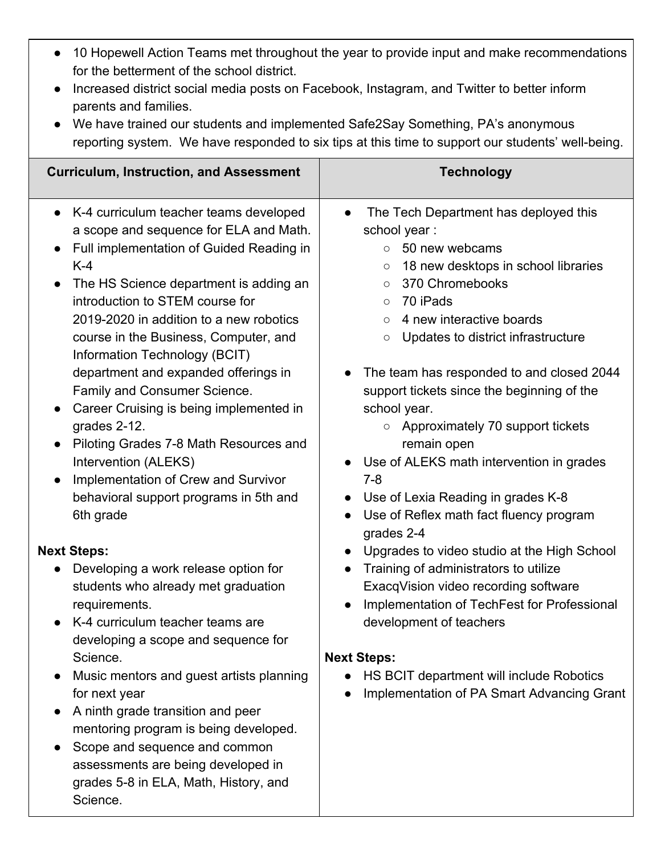- 10 Hopewell Action Teams met throughout the year to provide input and make recommendations for the betterment of the school district.
- Increased district social media posts on Facebook, Instagram, and Twitter to better inform parents and families.
- We have trained our students and implemented Safe2Say Something, PA's anonymous reporting system. We have responded to six tips at this time to support our students' well-being.

| <b>Curriculum, Instruction, and Assessment</b>                                                                                                                                                                                                                                                                                                                                                                                                                                                                                                                                                                                                          | <b>Technology</b>                                                                                                                                                                                                                                                                                                                                                                                                                                                                                                                                                                                                                                    |
|---------------------------------------------------------------------------------------------------------------------------------------------------------------------------------------------------------------------------------------------------------------------------------------------------------------------------------------------------------------------------------------------------------------------------------------------------------------------------------------------------------------------------------------------------------------------------------------------------------------------------------------------------------|------------------------------------------------------------------------------------------------------------------------------------------------------------------------------------------------------------------------------------------------------------------------------------------------------------------------------------------------------------------------------------------------------------------------------------------------------------------------------------------------------------------------------------------------------------------------------------------------------------------------------------------------------|
| K-4 curriculum teacher teams developed<br>a scope and sequence for ELA and Math.<br>Full implementation of Guided Reading in<br>$K-4$<br>The HS Science department is adding an<br>introduction to STEM course for<br>2019-2020 in addition to a new robotics<br>course in the Business, Computer, and<br>Information Technology (BCIT)<br>department and expanded offerings in<br>Family and Consumer Science.<br>Career Cruising is being implemented in<br>grades 2-12.<br>Piloting Grades 7-8 Math Resources and<br>$\bullet$<br>Intervention (ALEKS)<br>Implementation of Crew and Survivor<br>behavioral support programs in 5th and<br>6th grade | The Tech Department has deployed this<br>$\bullet$<br>school year:<br>50 new webcams<br>$\circ$<br>18 new desktops in school libraries<br>$\circ$<br>370 Chromebooks<br>$\circ$<br>70 iPads<br>$\circ$<br>4 new interactive boards<br>$\circ$<br>Updates to district infrastructure<br>$\circ$<br>The team has responded to and closed 2044<br>$\bullet$<br>support tickets since the beginning of the<br>school year.<br>$\circ$ Approximately 70 support tickets<br>remain open<br>Use of ALEKS math intervention in grades<br>$7 - 8$<br>Use of Lexia Reading in grades K-8<br>Use of Reflex math fact fluency program<br>$\bullet$<br>grades 2-4 |
| <b>Next Steps:</b><br>Developing a work release option for<br>students who already met graduation<br>requirements.<br>K-4 curriculum teacher teams are<br>developing a scope and sequence for<br>Science.<br>Music mentors and guest artists planning<br>for next year<br>A ninth grade transition and peer<br>mentoring program is being developed.<br>Scope and sequence and common<br>assessments are being developed in<br>grades 5-8 in ELA, Math, History, and<br>Science.                                                                                                                                                                        | Upgrades to video studio at the High School<br>Training of administrators to utilize<br>ExacqVision video recording software<br>Implementation of TechFest for Professional<br>$\bullet$<br>development of teachers<br><b>Next Steps:</b><br>HS BCIT department will include Robotics<br>Implementation of PA Smart Advancing Grant<br>$\bullet$                                                                                                                                                                                                                                                                                                     |